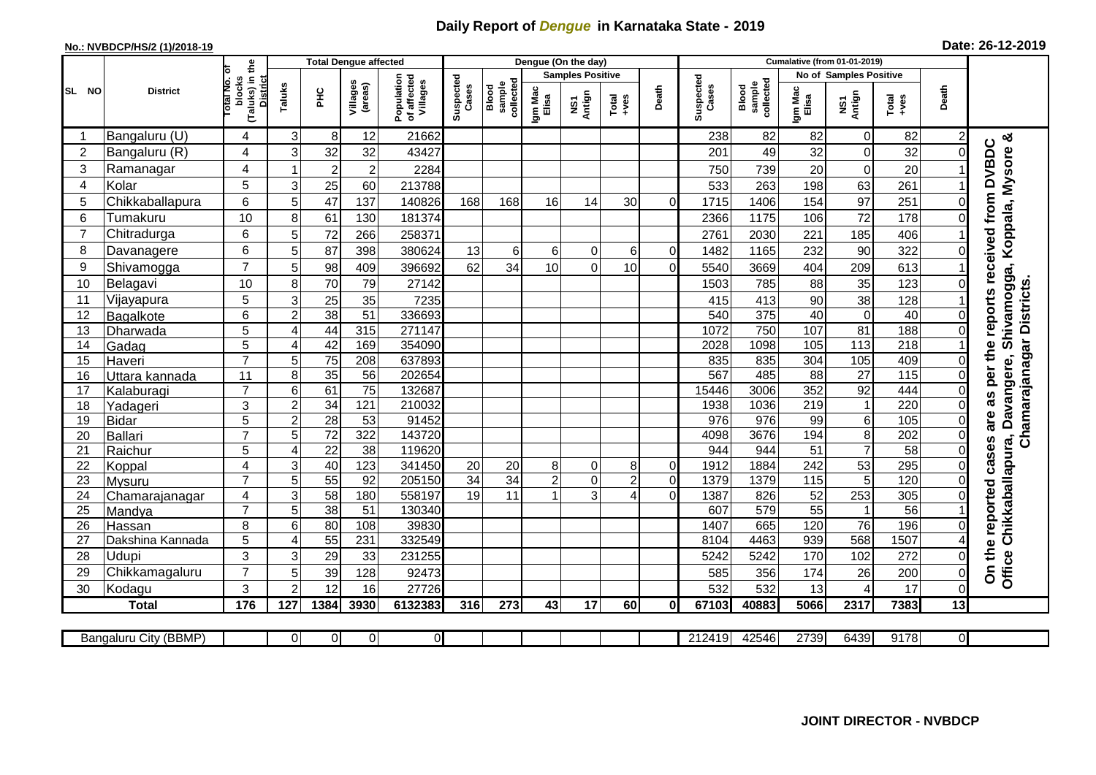## **Daily Report of** *Dengue* **in Karnataka State - 2019**

## **No.: NVBDCP/HS/2 (1)/2018-19 Date: 26-12-2019**

|                | <b>District</b>       |                                                   | <b>Total Dengue affected</b> |                 |                     |                                       |                    |                              |                  | Dengue (On the day)     |                |                |                    |                              |                  |                               |                  |                |                                                                                  |
|----------------|-----------------------|---------------------------------------------------|------------------------------|-----------------|---------------------|---------------------------------------|--------------------|------------------------------|------------------|-------------------------|----------------|----------------|--------------------|------------------------------|------------------|-------------------------------|------------------|----------------|----------------------------------------------------------------------------------|
| SL NO          |                       | ō                                                 |                              |                 |                     |                                       |                    |                              |                  | <b>Samples Positive</b> |                |                |                    |                              |                  | <b>No of Samples Positive</b> |                  |                |                                                                                  |
|                |                       | (Taluks) in the<br>District<br>blocks<br>otal No. | Taluks                       | ΞÉ              | Villages<br>(areas) | Population<br>of affected<br>Villages | Suspected<br>Cases | collected<br>Blood<br>sample | Igm Mac<br>Elisa | Antign<br>ŠΝ            | Total<br>+ves  | Death          | Suspected<br>Cases | collected<br>sample<br>Blood | Igm Mac<br>Elisa | NS1<br>Antign                 | Total<br>+ves    | Death          |                                                                                  |
|                | Bangaluru (U)         | 4                                                 | 3                            | 8               | 12                  | 21662                                 |                    |                              |                  |                         |                |                | 238                | 82                           | 82               | $\mathbf 0$                   | 82               |                | య                                                                                |
| $\overline{2}$ | Bangaluru (R)         | 4                                                 | 3                            | 32              | 32                  | 43427                                 |                    |                              |                  |                         |                |                | 201                | 49                           | 32               | $\Omega$                      | 32               | 0              |                                                                                  |
| 3              | Ramanagar             | 4                                                 | 1                            | $\overline{c}$  | $\overline{c}$      | 2284                                  |                    |                              |                  |                         |                |                | 750                | 739                          | 20               | $\mathbf 0$                   | 20               |                | as per the reports received from DVBDC<br>Davangere, Shivamogga, Koppala, Mysore |
| 4              | Kolar                 | 5                                                 | 3                            | 25              | 60                  | 213788                                |                    |                              |                  |                         |                |                | 533                | 263                          | 198              | 63                            | 261              |                |                                                                                  |
| 5              | Chikkaballapura       | 6                                                 | 5                            | 47              | 137                 | 140826                                | 168                | 168                          | 16               | 14                      | 30             | $\Omega$       | 1715               | 1406                         | 154              | 97                            | 251              | ΩI             |                                                                                  |
| 6              | Tumakuru              | 10                                                | 8                            | 61              | 130                 | 181374                                |                    |                              |                  |                         |                |                | 2366               | 1175                         | 106              | 72                            | 178              |                |                                                                                  |
| $\overline{7}$ | Chitradurga           | 6                                                 | 5                            | 72              | 266                 | 25837                                 |                    |                              |                  |                         |                |                | 2761               | 2030                         | 221              | 185                           | 406              |                |                                                                                  |
| 8              | Davanagere            | 6                                                 | 5                            | $\overline{87}$ | 398                 | 380624                                | 13                 | 6                            | 6                | $\mathbf 0$             | 6              | 0              | 1482               | 1165                         | 232              | 90                            | 322              | 0              |                                                                                  |
| 9              | Shivamogga            | $\overline{7}$                                    | 5                            | 98              | 409                 | 396692                                | 62                 | 34                           | 10               | $\Omega$                | 10             | $\overline{0}$ | 5540               | 3669                         | 404              | 209                           | 613              |                |                                                                                  |
| 10             | Belagavi              | 10                                                | 8                            | $\overline{70}$ | 79                  | 27142                                 |                    |                              |                  |                         |                |                | 1503               | 785                          | 88               | 35                            | 123              | 0              |                                                                                  |
| 11             | Vijayapura            | 5                                                 | 3                            | 25              | 35                  | 7235                                  |                    |                              |                  |                         |                |                | 415                | 413                          | 90               | 38                            | 128              |                | Chamarajanagar Districts.                                                        |
| 12             | <b>Bagalkote</b>      | 6                                                 | $\overline{2}$               | 38              | $\overline{51}$     | 336693                                |                    |                              |                  |                         |                |                | 540                | 375                          | 40               | $\mathbf 0$                   | 40               | $\overline{0}$ |                                                                                  |
| 13             | Dharwada              | 5                                                 | $\overline{4}$               | 44              | 315                 | 271147                                |                    |                              |                  |                         |                |                | 1072               | 750                          | 107              | 81                            | 188              | $\overline{0}$ |                                                                                  |
| 14             | Gadag                 | 5                                                 | 4                            | 42              | 169                 | 354090                                |                    |                              |                  |                         |                |                | 2028               | 1098                         | 105              | 113                           | $\overline{218}$ |                |                                                                                  |
| 15             | Haveri                | $\overline{7}$                                    | 5                            | $\overline{75}$ | 208                 | 637893                                |                    |                              |                  |                         |                |                | 835                | 835                          | 304              | 105                           | 409              | $\Omega$       |                                                                                  |
| 16             | Uttara kannada        | 11                                                | 8                            | 35              | 56                  | 202654                                |                    |                              |                  |                         |                |                | 567                | 485                          | 88               | $\overline{27}$               | 115              | $\Omega$       |                                                                                  |
| 17             | Kalaburagi            | $\overline{7}$                                    | 6                            | 61              | $\overline{75}$     | 132687                                |                    |                              |                  |                         |                |                | 15446              | 3006                         | 352              | $\overline{92}$               | 444              | $\Omega$       |                                                                                  |
| 18             | Yadageri              | 3                                                 | $\overline{2}$               | 34              | 121                 | 210032                                |                    |                              |                  |                         |                |                | 1938               | 1036                         | 219              | $\overline{1}$                | 220              |                |                                                                                  |
| 19             | <b>Bidar</b>          | 5                                                 | $\overline{2}$               | 28              | $\overline{53}$     | 91452                                 |                    |                              |                  |                         |                |                | 976                | 976                          | 99               | 6                             | 105              | $\Omega$       | are                                                                              |
| 20             | <b>Ballari</b>        | $\overline{7}$                                    | 5                            | $\overline{72}$ | 322                 | 143720                                |                    |                              |                  |                         |                |                | 4098               | 3676                         | 194              | 8                             | 202              | $\overline{0}$ |                                                                                  |
| 21             | Raichur               | 5                                                 | $\overline{4}$               | $\overline{22}$ | $\overline{38}$     | 119620                                |                    |                              |                  |                         |                |                | 944                | 944                          | 51               | $\overline{7}$                | 58               | $\overline{0}$ | Chikkaballapura,<br>cases                                                        |
| 22             | Koppal                | 4                                                 | 3                            | 40              | 123                 | 341450                                | 20                 | 20                           | 8                | 0                       | 8              | 0              | 1912               | 1884                         | 242              | 53                            | 295              | $\overline{0}$ |                                                                                  |
| 23             | Mysuru                | $\overline{7}$                                    | $\overline{5}$               | 55              | $\overline{92}$     | 205150                                | 34                 | $\overline{34}$              | $\overline{2}$   | $\mathbf 0$             | $\overline{2}$ | $\overline{0}$ | 1379               | 1379                         | 115              | $\overline{5}$                | 120              | $\overline{0}$ |                                                                                  |
| 24             | Chamarajanagar        | 4                                                 | 3                            | 58              | 180                 | 558197                                | 19                 | $\overline{11}$              |                  | 3                       | 4              | $\overline{0}$ | 1387               | 826                          | 52               | 253                           | 305              | <sub>0</sub>   |                                                                                  |
| 25             | Mandya                | $\overline{7}$                                    | 5                            | 38              | $\overline{51}$     | 130340                                |                    |                              |                  |                         |                |                | 607                | 579                          | 55               | $\overline{1}$                | 56               |                |                                                                                  |
| 26             | Hassan                | 8                                                 | 6                            | 80              | 108                 | 39830                                 |                    |                              |                  |                         |                |                | 1407               | 665                          | 120              | 76                            | 196              | <sub>0</sub>   |                                                                                  |
| 27             | Dakshina Kannada      | 5                                                 | $\overline{4}$               | $\overline{55}$ | 231                 | 332549                                |                    |                              |                  |                         |                |                | 8104               | 4463                         | 939              | 568                           | 1507             |                |                                                                                  |
| 28             | Udupi                 | 3<br>$\overline{7}$                               | 3                            | 29              | 33                  | 231255                                |                    |                              |                  |                         |                |                | 5242               | 5242                         | 170              | 102                           | 272              | 0              | On the reported                                                                  |
| 29             | Chikkamagaluru        |                                                   | 5                            | 39              | 128                 | 92473                                 |                    |                              |                  |                         |                |                | 585                | 356                          | 174              | 26                            | 200              | $\overline{0}$ | <b>Office</b>                                                                    |
| 30             | Kodagu                | 3                                                 | $\overline{2}$               | 12              | 16                  | 27726                                 |                    |                              |                  |                         |                |                | 532                | 532                          | 13               | 4                             | 17               | $\Omega$       |                                                                                  |
|                | <b>Total</b>          | 176                                               | 127                          | 1384            | 3930                | 6132383                               | 316                | 273                          | 43               | 17                      | 60             | $\mathbf{0}$   | 67103              | 40883                        | 5066             | 2317                          | 7383             | 13             |                                                                                  |
|                | Bangaluru City (BBMP) |                                                   | $\overline{0}$               | $\overline{0}$  | $\overline{0}$      | $\mathbf{0}$                          |                    |                              |                  |                         |                |                | 212419             | 42546                        | 2739             | 6439                          | 9178             | $\overline{0}$ |                                                                                  |
|                |                       |                                                   |                              |                 |                     |                                       |                    |                              |                  |                         |                |                |                    |                              |                  |                               |                  |                |                                                                                  |